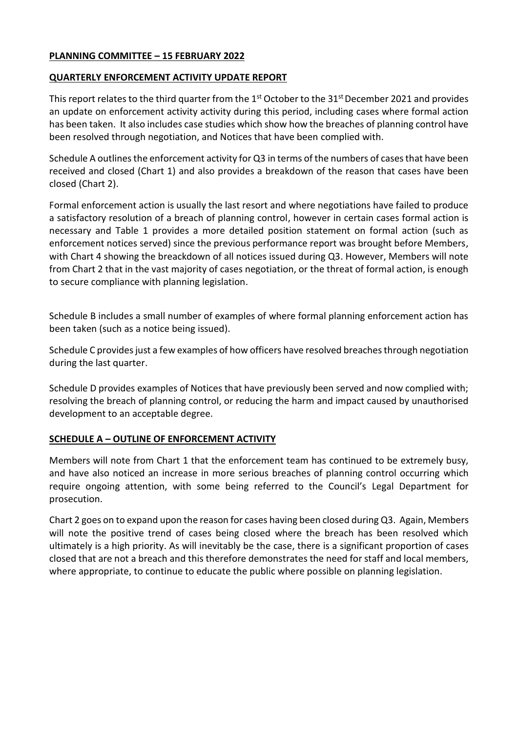## **PLANNING COMMITTEE – 15 FEBRUARY 2022**

#### **QUARTERLY ENFORCEMENT ACTIVITY UPDATE REPORT**

This report relates to the third quarter from the 1<sup>st</sup> October to the 31<sup>st</sup> December 2021 and provides an update on enforcement activity activity during this period, including cases where formal action has been taken. It also includes case studies which show how the breaches of planning control have been resolved through negotiation, and Notices that have been complied with.

Schedule A outlines the enforcement activity for Q3 in terms of the numbers of cases that have been received and closed (Chart 1) and also provides a breakdown of the reason that cases have been closed (Chart 2).

Formal enforcement action is usually the last resort and where negotiations have failed to produce a satisfactory resolution of a breach of planning control, however in certain cases formal action is necessary and Table 1 provides a more detailed position statement on formal action (such as enforcement notices served) since the previous performance report was brought before Members, with Chart 4 showing the breackdown of all notices issued during Q3. However, Members will note from Chart 2 that in the vast majority of cases negotiation, or the threat of formal action, is enough to secure compliance with planning legislation.

Schedule B includes a small number of examples of where formal planning enforcement action has been taken (such as a notice being issued).

Schedule C provides just a few examples of how officers have resolved breaches through negotiation during the last quarter.

Schedule D provides examples of Notices that have previously been served and now complied with; resolving the breach of planning control, or reducing the harm and impact caused by unauthorised development to an acceptable degree.

# **SCHEDULE A – OUTLINE OF ENFORCEMENT ACTIVITY**

Members will note from Chart 1 that the enforcement team has continued to be extremely busy, and have also noticed an increase in more serious breaches of planning control occurring which require ongoing attention, with some being referred to the Council's Legal Department for prosecution.

Chart 2 goes on to expand upon the reason for cases having been closed during Q3. Again, Members will note the positive trend of cases being closed where the breach has been resolved which ultimately is a high priority. As will inevitably be the case, there is a significant proportion of cases closed that are not a breach and this therefore demonstrates the need for staff and local members, where appropriate, to continue to educate the public where possible on planning legislation.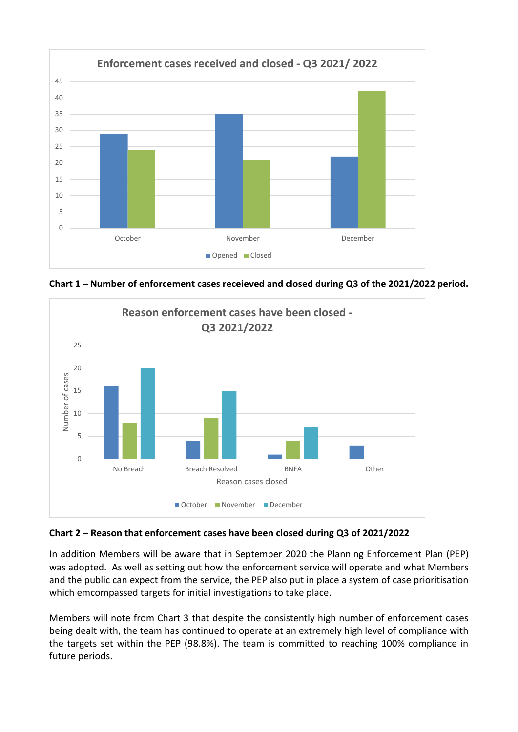





# **Chart 2 – Reason that enforcement cases have been closed during Q3 of 2021/2022**

In addition Members will be aware that in September 2020 the Planning Enforcement Plan (PEP) was adopted. As well as setting out how the enforcement service will operate and what Members and the public can expect from the service, the PEP also put in place a system of case prioritisation which emcompassed targets for initial investigations to take place.

Members will note from Chart 3 that despite the consistently high number of enforcement cases being dealt with, the team has continued to operate at an extremely high level of compliance with the targets set within the PEP (98.8%). The team is committed to reaching 100% compliance in future periods.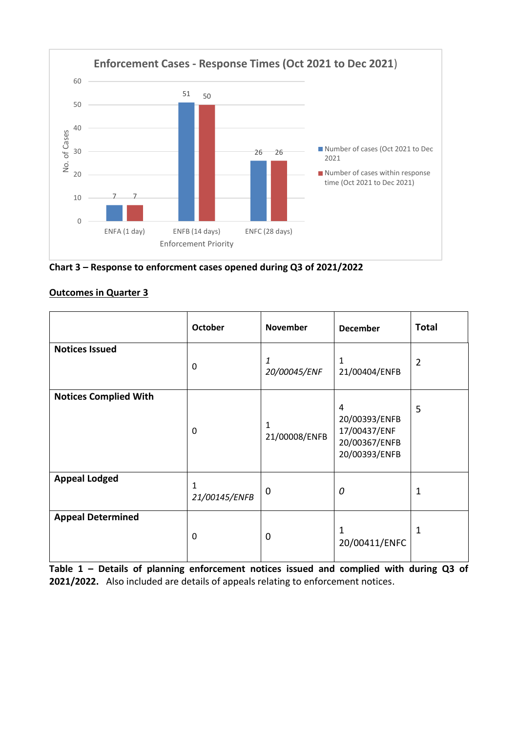

**Chart 3 – Response to enforcment cases opened during Q3 of 2021/2022**

# **Outcomes in Quarter 3**

|                              | October                       | <b>November</b>   | <b>December</b>                                                                   | <b>Total</b>   |
|------------------------------|-------------------------------|-------------------|-----------------------------------------------------------------------------------|----------------|
| <b>Notices Issued</b>        | 0                             | 1<br>20/00045/ENF | 1<br>21/00404/ENFB                                                                | $\overline{2}$ |
| <b>Notices Complied With</b> | 0                             | 21/00008/ENFB     | $\overline{4}$<br>20/00393/ENFB<br>17/00437/ENF<br>20/00367/ENFB<br>20/00393/ENFB | 5              |
| <b>Appeal Lodged</b>         | $\mathbf{1}$<br>21/00145/ENFB | $\mathbf 0$       | 0                                                                                 | $\mathbf{1}$   |
| <b>Appeal Determined</b>     | $\pmb{0}$                     | $\mathbf 0$       | 1<br>20/00411/ENFC                                                                | 1              |

**Table 1 – Details of planning enforcement notices issued and complied with during Q3 of 2021/2022.** Also included are details of appeals relating to enforcement notices.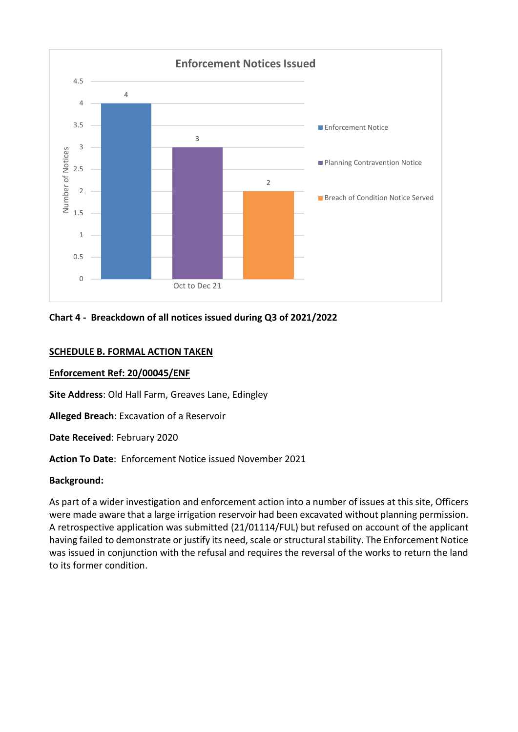

# **Chart 4 - Breackdown of all notices issued during Q3 of 2021/2022**

#### **SCHEDULE B. FORMAL ACTION TAKEN**

#### **Enforcement Ref: 20/00045/ENF**

**Site Address**: Old Hall Farm, Greaves Lane, Edingley

**Alleged Breach**: Excavation of a Reservoir

**Date Received**: February 2020

**Action To Date**: Enforcement Notice issued November 2021

#### **Background:**

As part of a wider investigation and enforcement action into a number of issues at this site, Officers were made aware that a large irrigation reservoir had been excavated without planning permission. A retrospective application was submitted (21/01114/FUL) but refused on account of the applicant having failed to demonstrate or justify its need, scale or structural stability. The Enforcement Notice was issued in conjunction with the refusal and requires the reversal of the works to return the land to its former condition.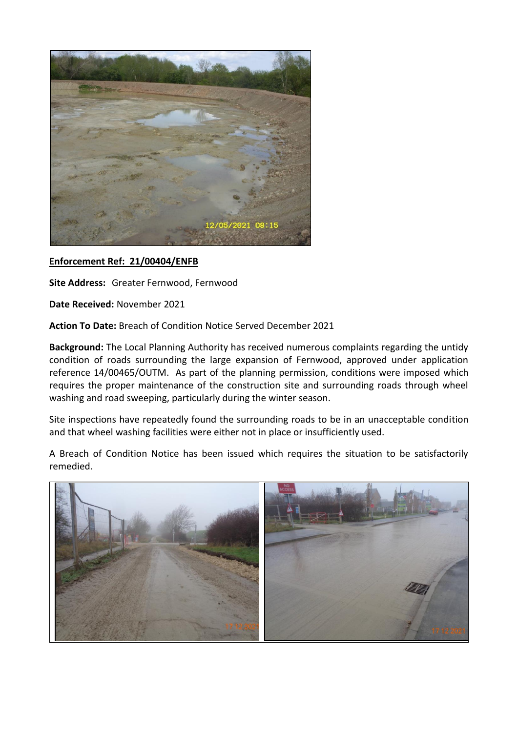

# **Enforcement Ref: 21/00404/ENFB**

**Site Address:** Greater Fernwood, Fernwood

**Date Received:** November 2021

**Action To Date:** Breach of Condition Notice Served December 2021

**Background:** The Local Planning Authority has received numerous complaints regarding the untidy condition of roads surrounding the large expansion of Fernwood, approved under application reference 14/00465/OUTM. As part of the planning permission, conditions were imposed which requires the proper maintenance of the construction site and surrounding roads through wheel washing and road sweeping, particularly during the winter season.

Site inspections have repeatedly found the surrounding roads to be in an unacceptable condition and that wheel washing facilities were either not in place or insufficiently used.

A Breach of Condition Notice has been issued which requires the situation to be satisfactorily remedied.

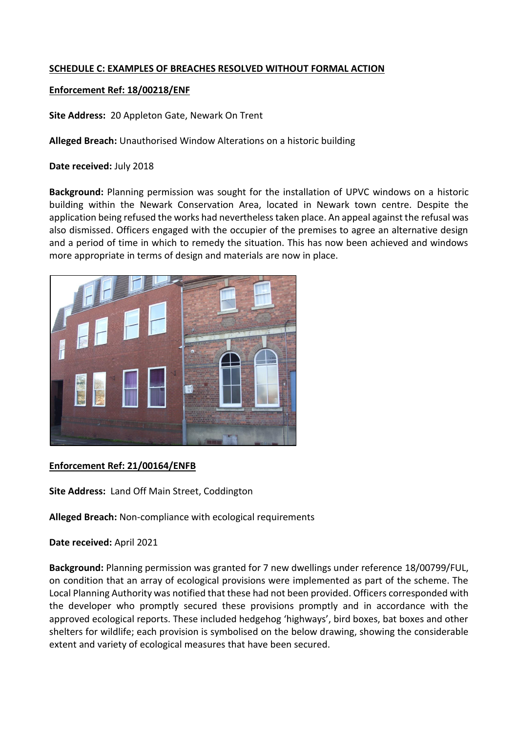# **SCHEDULE C: EXAMPLES OF BREACHES RESOLVED WITHOUT FORMAL ACTION**

## **Enforcement Ref: 18/00218/ENF**

**Site Address:** 20 Appleton Gate, Newark On Trent

**Alleged Breach:** Unauthorised Window Alterations on a historic building

**Date received:** July 2018

**Background:** Planning permission was sought for the installation of UPVC windows on a historic building within the Newark Conservation Area, located in Newark town centre. Despite the application being refused the works had nevertheless taken place. An appeal against the refusal was also dismissed. Officers engaged with the occupier of the premises to agree an alternative design and a period of time in which to remedy the situation. This has now been achieved and windows more appropriate in terms of design and materials are now in place.



# **Enforcement Ref: 21/00164/ENFB**

**Site Address:** Land Off Main Street, Coddington

**Alleged Breach:** Non-compliance with ecological requirements

**Date received:** April 2021

**Background:** Planning permission was granted for 7 new dwellings under reference 18/00799/FUL, on condition that an array of ecological provisions were implemented as part of the scheme. The Local Planning Authority was notified that these had not been provided. Officers corresponded with the developer who promptly secured these provisions promptly and in accordance with the approved ecological reports. These included hedgehog 'highways', bird boxes, bat boxes and other shelters for wildlife; each provision is symbolised on the below drawing, showing the considerable extent and variety of ecological measures that have been secured.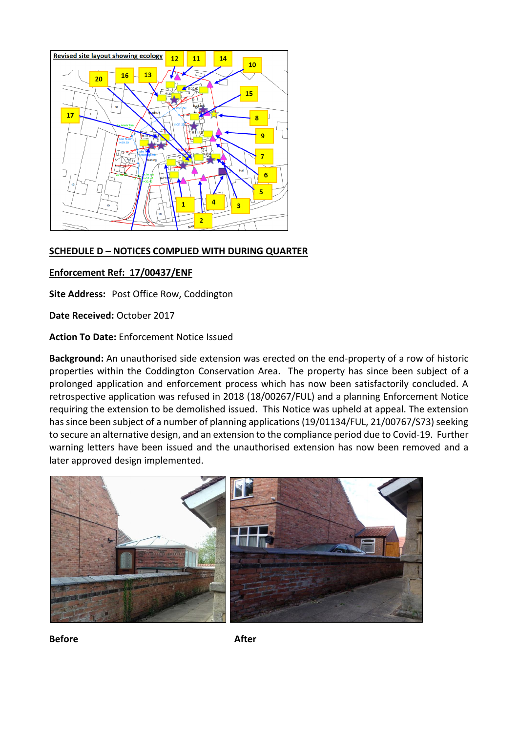

## **SCHEDULE D – NOTICES COMPLIED WITH DURING QUARTER**

## **Enforcement Ref: 17/00437/ENF**

**Site Address:** Post Office Row, Coddington

**Date Received:** October 2017

**Action To Date:** Enforcement Notice Issued

**Background:** An unauthorised side extension was erected on the end-property of a row of historic properties within the Coddington Conservation Area. The property has since been subject of a prolonged application and enforcement process which has now been satisfactorily concluded. A retrospective application was refused in 2018 (18/00267/FUL) and a planning Enforcement Notice requiring the extension to be demolished issued. This Notice was upheld at appeal. The extension has since been subject of a number of planning applications (19/01134/FUL, 21/00767/S73) seeking to secure an alternative design, and an extension to the compliance period due to Covid-19. Further warning letters have been issued and the unauthorised extension has now been removed and a later approved design implemented.



**Before** After